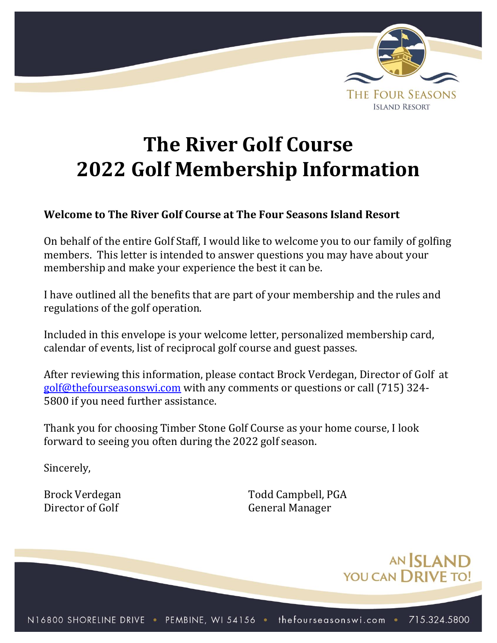

# **The River Golf Course 2022 Golf Membership Information**

# **Welcome to The River Golf Course at The Four Seasons Island Resort**

On behalf of the entire Golf Staff, I would like to welcome you to our family of golfing members. This letter is intended to answer questions you may have about your membership and make your experience the best it can be.

I have outlined all the benefits that are part of your membership and the rules and regulations of the golf operation.

Included in this envelope is your welcome letter, personalized membership card, calendar of events, list of reciprocal golf course and guest passes.

After reviewing this information, please contact Brock Verdegan, Director of Golf at [golf@thefourseasonswi.com](mailto:golf@thefourseasonswi.com) with any comments or questions or call (715) 324- 5800 if you need further assistance.

Thank you for choosing Timber Stone Golf Course as your home course, I look forward to seeing you often during the 2022 golf season.

Sincerely,

Brock Verdegan Todd Campbell, PGA Director of Golf General Manager

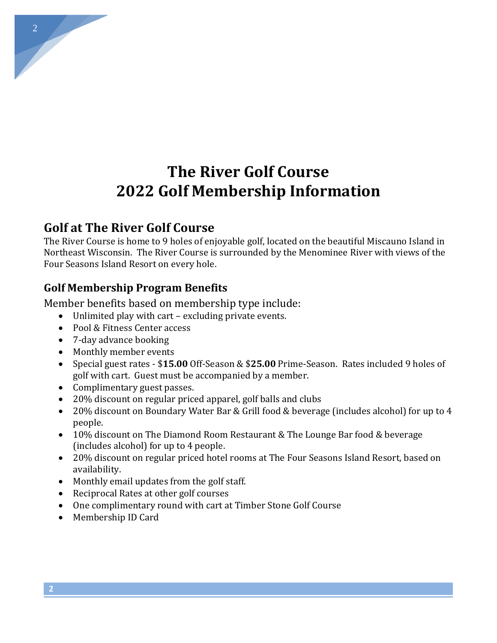# **The River Golf Course 2022 Golf Membership Information**

# **Golf at The River Golf Course**

The River Course is home to 9 holes of enjoyable golf, located on the beautiful Miscauno Island in Northeast Wisconsin. The River Course is surrounded by the Menominee River with views of the Four Seasons Island Resort on every hole.

## **Golf Membership Program Benefits**

Member benefits based on membership type include:

- Unlimited play with cart excluding private events.
- Pool & Fitness Center access
- 7-day advance booking
- Monthly member events
- Special guest rates \$**15.00** Off-Season & \$**25.00** Prime-Season. Rates included 9 holes of golf with cart. Guest must be accompanied by a member.
- Complimentary guest passes.
- 20% discount on regular priced apparel, golf balls and clubs
- 20% discount on Boundary Water Bar & Grill food & beverage (includes alcohol) for up to 4 people.
- 10% discount on The Diamond Room Restaurant & The Lounge Bar food & beverage (includes alcohol) for up to 4 people.
- 20% discount on regular priced hotel rooms at The Four Seasons Island Resort, based on availability.
- Monthly email updates from the golf staff.
- Reciprocal Rates at other golf courses
- One complimentary round with cart at Timber Stone Golf Course
- Membership ID Card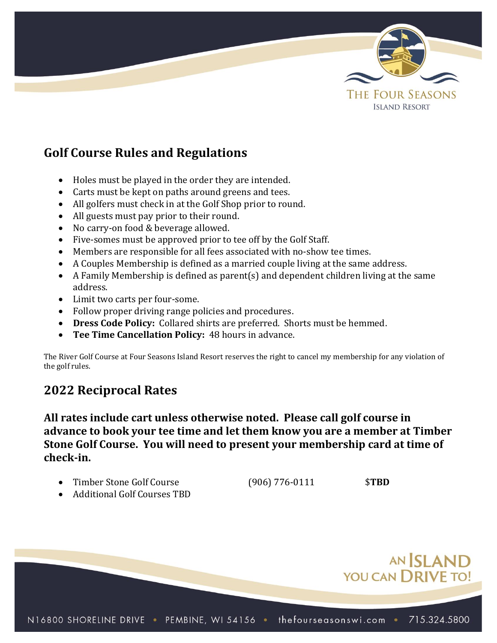

# **Golf Course Rules and Regulations**

- Holes must be played in the order they are intended.
- Carts must be kept on paths around greens and tees.
- All golfers must check in at the Golf Shop prior to round.
- All guests must pay prior to their round.
- No carry-on food & beverage allowed.
- Five-somes must be approved prior to tee off by the Golf Staff.
- Members are responsible for all fees associated with no-show tee times.
- A Couples Membership is defined as a married couple living at the same address.
- A Family Membership is defined as parent(s) and dependent children living at the same address.
- Limit two carts per four-some.
- Follow proper driving range policies and procedures.
- **Dress Code Policy:** Collared shirts are preferred. Shorts must be hemmed.
- **Tee Time Cancellation Policy:** 48 hours in advance.

The River Golf Course at Four Seasons Island Resort reserves the right to cancel my membership for any violation of the golf rules.

# **2022 Reciprocal Rates**

**All rates include cart unless otherwise noted. Please call golf course in advance to book your tee time and let them know you are a member at Timber Stone Golf Course. You will need to present your membership card at time of check-in.**

- Timber Stone Golf Course (906) 776-0111 \$**TBD**
- 

• Additional Golf Courses TBD